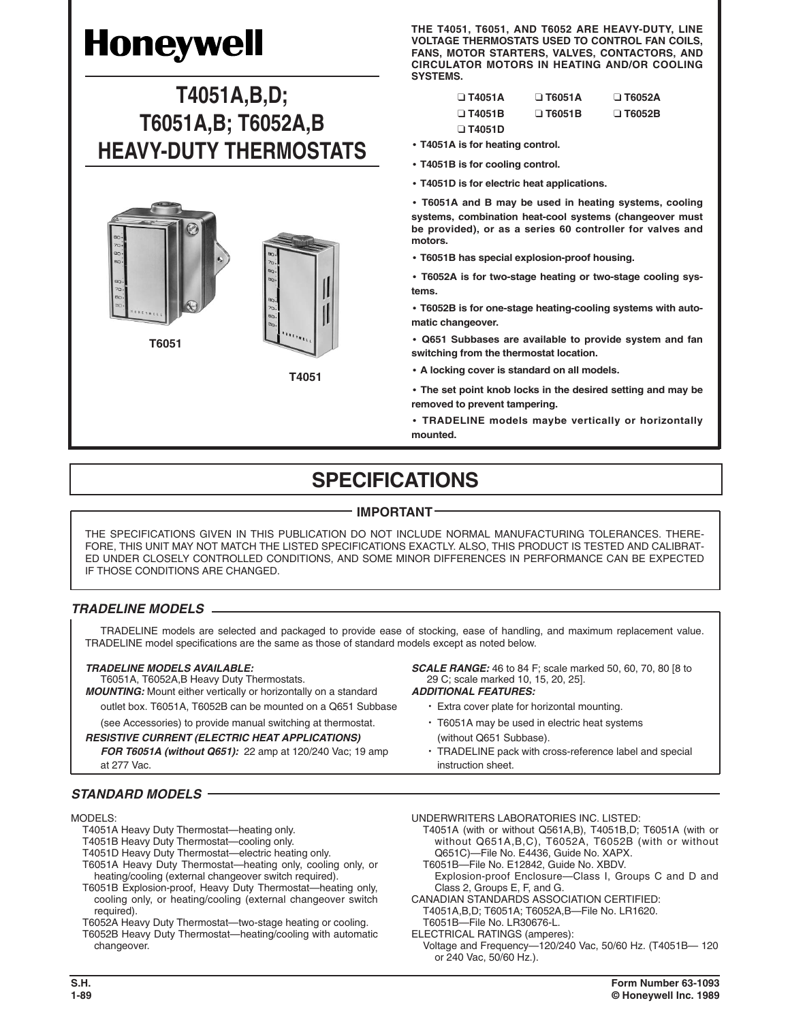# **Honeywell**

## **T4051A,B,D; T6051A,B; T6052A,B HEAVY-DUTY THERMOSTATS**



**THE T4051, T6051, AND T6052 ARE HEAVY-DUTY, LINE VOLTAGE THERMOSTATS USED TO CONTROL FAN COILS, FANS, MOTOR STARTERS, VALVES, CONTACTORS, AND CIRCULATOR MOTORS IN HEATING AND/OR COOLING SYSTEMS.**

| $\Box$ T4051A | $\square$ T6051A | $\square$ T6052A |
|---------------|------------------|------------------|
| $\Box$ T4051B | $\Box$ T6051B    | $\Box$ T6052B    |

❑ **T4051D • T4051A is for heating control.**

- **• T4051B is for cooling control.**
- 
- **• T4051D is for electric heat applications.**

**• T6051A and B may be used in heating systems, cooling systems, combination heat-cool systems (changeover must be provided), or as a series 60 controller for valves and motors.**

**• T6051B has special explosion-proof housing.**

**• T6052A is for two-stage heating or two-stage cooling systems.**

**• T6052B is for one-stage heating-cooling systems with automatic changeover.**

- **• Q651 Subbases are available to provide system and fan switching from the thermostat location.**
- **• A locking cover is standard on all models.**
- **• The set point knob locks in the desired setting and may be removed to prevent tampering.**

**• TRADELINE models maybe vertically or horizontally mounted.**

## **SPECIFICATIONS**

#### **IMPORTANT**

THE SPECIFICATIONS GIVEN IN THIS PUBLICATION DO NOT INCLUDE NORMAL MANUFACTURING TOLERANCES. THERE-FORE, THIS UNIT MAY NOT MATCH THE LISTED SPECIFICATIONS EXACTLY. ALSO, THIS PRODUCT IS TESTED AND CALIBRAT-ED UNDER CLOSELY CONTROLLED CONDITIONS, AND SOME MINOR DIFFERENCES IN PERFORMANCE CAN BE EXPECTED IF THOSE CONDITIONS ARE CHANGED.

#### *TRADELINE MODELS*

TRADELINE models are selected and packaged to provide ease of stocking, ease of handling, and maximum replacement value. TRADELINE model specifications are the same as those of standard models except as noted below.

T6051A, T6052A,B Heavy Duty Thermostats. 29 C; scale marked 10, 29 C; scale marked 10, 15, 2006. 2007 THES:

*MOUNTING:* Mount either vertically or horizontally on a standard

outlet box. T6051A, T6052B can be mounted on a Q651 Subbase • Extra cover plate for horizontal mounting.

### *RESISTIVE CURRENT (ELECTRIC HEAT APPLICATIONS)* (without Q651 Subbase).

*FOR T6051A (without Q651):* 22 amp at 120/240 Vac; 19 amp • TRADELINE pack with cross-reference label and special at 277 Vac. **instruction sheet. instruction sheet. instruction sheet.** 

**TRADELINE MODELS AVAILABLE: SCALE RANGE:** 46 to 84 F; scale marked 50, 60, 70, 80 [8 to **SCALE RANGE:** 46 to 84 F; scale marked 50, 60, 70, 80 [8 to **76051A, T6052A,B** Heavy Duty Thermostats. 29 C; scale marked 10, 15,

- 
- (see Accessories) to provide manual switching at thermostat. T6051A may be used in electric heat systems
	-

#### *STANDARD MODELS*

#### MODELS:

- T4051A Heavy Duty Thermostat—heating only.
- T4051B Heavy Duty Thermostat—cooling only.
- T4051D Heavy Duty Thermostat—electric heating only.
- T6051A Heavy Duty Thermostat—heating only, cooling only, or heating/cooling (external changeover switch required).
- T6051B Explosion-proof, Heavy Duty Thermostat—heating only, cooling only, or heating/cooling (external changeover switch required).

T6052A Heavy Duty Thermostat—two-stage heating or cooling. T6052B Heavy Duty Thermostat—heating/cooling with automatic changeover.

- UNDERWRITERS LABORATORIES INC. LISTED:
	- T4051A (with or without Q561A,B), T4051B,D; T6051A (with or without Q651A,B,C), T6052A, T6052B (with or without Q651C)—File No. E4436, Guide No. XAPX.

T6051B—File No. E12842, Guide No. XBDV.

Explosion-proof Enclosure—Class I, Groups C and D and Class 2, Groups E, F, and G.

CANADIAN STANDARDS ASSOCIATION CERTIFIED: T4051A,B,D; T6051A; T6052A,B—File No. LR1620.

T6051B—File No. LR30676-L.

ELECTRICAL RATINGS (amperes):

Voltage and Frequency—120/240 Vac, 50/60 Hz. (T4051B— 120 or 240 Vac, 50/60 Hz.).